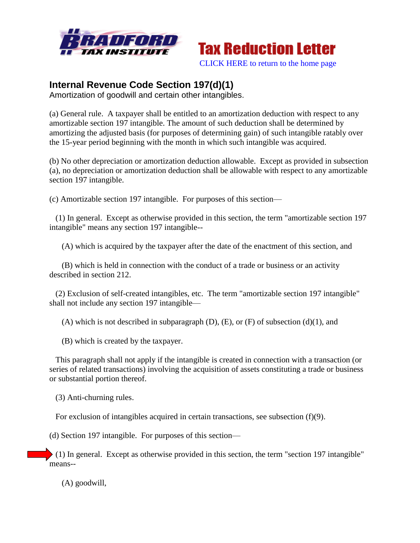



[CLICK HERE to return to the home page](http://bradfordtaxinstitute.com/index1.aspx)

## **Internal Revenue Code Section 197(d)(1)**

Amortization of goodwill and certain other intangibles.

(a) General rule. A taxpayer shall be entitled to an amortization deduction with respect to any amortizable section 197 intangible. The amount of such deduction shall be determined by amortizing the adjusted basis (for purposes of determining gain) of such intangible ratably over the 15-year period beginning with the month in which such intangible was acquired.

(b) No other depreciation or amortization deduction allowable. Except as provided in subsection (a), no depreciation or amortization deduction shall be allowable with respect to any amortizable section 197 intangible.

(c) Amortizable section 197 intangible. For purposes of this section—

 (1) In general. Except as otherwise provided in this section, the term "amortizable section 197 intangible" means any section 197 intangible--

(A) which is acquired by the taxpayer after the date of the enactment of this section, and

 (B) which is held in connection with the conduct of a trade or business or an activity described in section 212.

 (2) Exclusion of self-created intangibles, etc. The term "amortizable section 197 intangible" shall not include any section 197 intangible—

(A) which is not described in subparagraph  $(D)$ ,  $(E)$ , or  $(F)$  of subsection  $(d)(1)$ , and

(B) which is created by the taxpayer.

 This paragraph shall not apply if the intangible is created in connection with a transaction (or series of related transactions) involving the acquisition of assets constituting a trade or business or substantial portion thereof.

(3) Anti-churning rules.

For exclusion of intangibles acquired in certain transactions, see subsection (f)(9).

(d) Section 197 intangible. For purposes of this section—

 (1) In general. Except as otherwise provided in this section, the term "section 197 intangible" means--

(A) goodwill,